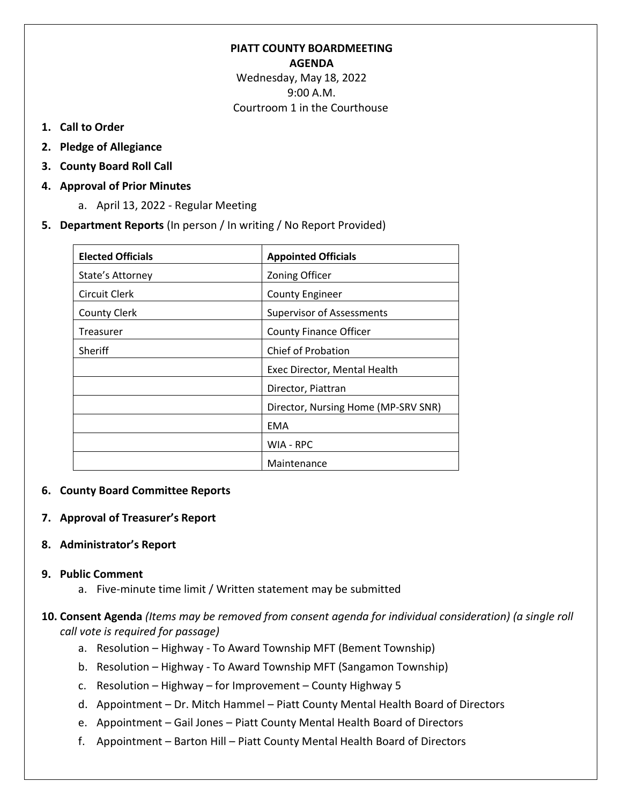# **PIATT COUNTY BOARDMEETING AGENDA** Wednesday, May 18, 2022

9:00 A.M. Courtroom 1 in the Courthouse

- **1. Call to Order**
- **2. Pledge of Allegiance**
- **3. County Board Roll Call**
- **4. Approval of Prior Minutes**
	- a. April 13, 2022 Regular Meeting
- **5. Department Reports** (In person / In writing / No Report Provided)

| <b>Elected Officials</b> | <b>Appointed Officials</b>          |
|--------------------------|-------------------------------------|
| State's Attorney         | Zoning Officer                      |
| Circuit Clerk            | <b>County Engineer</b>              |
| <b>County Clerk</b>      | <b>Supervisor of Assessments</b>    |
| Treasurer                | <b>County Finance Officer</b>       |
| <b>Sheriff</b>           | <b>Chief of Probation</b>           |
|                          | Exec Director, Mental Health        |
|                          | Director, Piattran                  |
|                          | Director, Nursing Home (MP-SRV SNR) |
|                          | EMA                                 |
|                          | WIA - RPC                           |
|                          | Maintenance                         |

## **6. County Board Committee Reports**

## **7. Approval of Treasurer's Report**

## **8. Administrator's Report**

## **9. Public Comment**

a. Five-minute time limit / Written statement may be submitted

# **10. Consent Agenda** *(Items may be removed from consent agenda for individual consideration) (a single roll call vote is required for passage)*

- a. Resolution Highway To Award Township MFT (Bement Township)
- b. Resolution Highway To Award Township MFT (Sangamon Township)
- c. Resolution Highway for Improvement County Highway 5
- d. Appointment Dr. Mitch Hammel Piatt County Mental Health Board of Directors
- e. Appointment Gail Jones Piatt County Mental Health Board of Directors
- f. Appointment Barton Hill Piatt County Mental Health Board of Directors